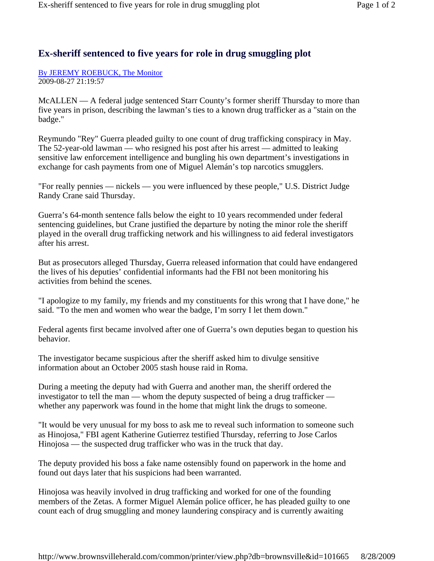## **Ex-sheriff sentenced to five years for role in drug smuggling plot**

By JEREMY ROEBUCK, The Monitor 2009-08-27 21:19:57

McALLEN — A federal judge sentenced Starr County's former sheriff Thursday to more than five years in prison, describing the lawman's ties to a known drug trafficker as a "stain on the badge."

Reymundo "Rey" Guerra pleaded guilty to one count of drug trafficking conspiracy in May. The 52-year-old lawman — who resigned his post after his arrest — admitted to leaking sensitive law enforcement intelligence and bungling his own department's investigations in exchange for cash payments from one of Miguel Alemán's top narcotics smugglers.

"For really pennies — nickels — you were influenced by these people," U.S. District Judge Randy Crane said Thursday.

Guerra's 64-month sentence falls below the eight to 10 years recommended under federal sentencing guidelines, but Crane justified the departure by noting the minor role the sheriff played in the overall drug trafficking network and his willingness to aid federal investigators after his arrest.

But as prosecutors alleged Thursday, Guerra released information that could have endangered the lives of his deputies' confidential informants had the FBI not been monitoring his activities from behind the scenes.

"I apologize to my family, my friends and my constituents for this wrong that I have done," he said. "To the men and women who wear the badge, I'm sorry I let them down."

Federal agents first became involved after one of Guerra's own deputies began to question his behavior.

The investigator became suspicious after the sheriff asked him to divulge sensitive information about an October 2005 stash house raid in Roma.

During a meeting the deputy had with Guerra and another man, the sheriff ordered the investigator to tell the man — whom the deputy suspected of being a drug trafficker whether any paperwork was found in the home that might link the drugs to someone.

"It would be very unusual for my boss to ask me to reveal such information to someone such as Hinojosa," FBI agent Katherine Gutierrez testified Thursday, referring to Jose Carlos Hinojosa — the suspected drug trafficker who was in the truck that day.

The deputy provided his boss a fake name ostensibly found on paperwork in the home and found out days later that his suspicions had been warranted.

Hinojosa was heavily involved in drug trafficking and worked for one of the founding members of the Zetas. A former Miguel Alemán police officer, he has pleaded guilty to one count each of drug smuggling and money laundering conspiracy and is currently awaiting